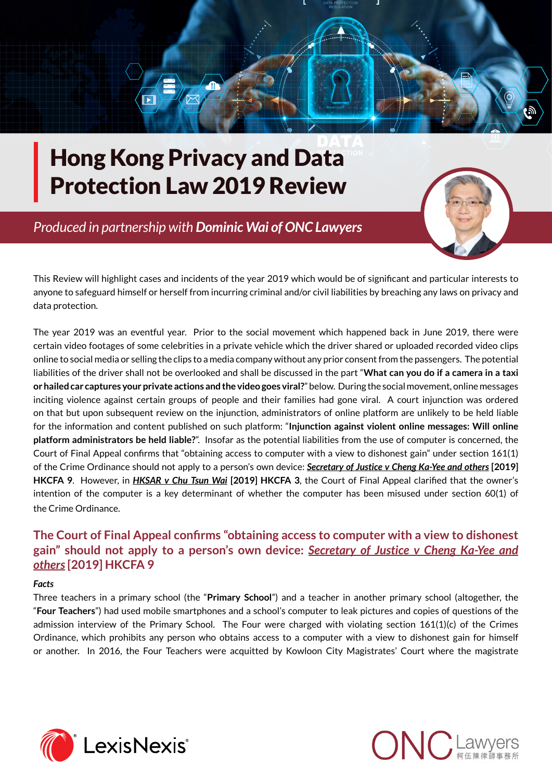

# Hong Kong Privacy and Data Protection Law 2019 Review

 *Produced in partnership with [Dominic Wai of ONC Lawyers](http://www.onc.hk/en_US/dominic-wai/)*



This Review will highlight cases and incidents of the year 2019 which would be of significant and particular interests to anyone to safeguard himself or herself from incurring criminal and/or civil liabilities by breaching any laws on privacy and data protection.

The year 2019 was an eventful year. Prior to the social movement which happened back in June 2019, there were certain video footages of some celebrities in a private vehicle which the driver shared or uploaded recorded video clips online to social media or selling the clips to a media company without any prior consent from the passengers. The potential liabilities of the driver shall not be overlooked and shall be discussed in the part "**What can you do if a camera in a taxi or hailed car captures your private actions and the video goes viral?**" below. During the social movement, online messages inciting violence against certain groups of people and their families had gone viral. A court injunction was ordered on that but upon subsequent review on the injunction, administrators of online platform are unlikely to be held liable for the information and content published on such platform: "**Injunction against violent online messages: Will online platform administrators be held liable?**". Insofar as the potential liabilities from the use of computer is concerned, the Court of Final Appeal confirms that "obtaining access to computer with a view to dishonest gain" under section 161(1) of the Crime Ordinance should not apply to a person's own device: *Secretary of Justice v Cheng Ka-Yee and others* **[2019] HKCFA 9**. However, in *HKSAR v Chu Tsun Wai* **[2019] HKCFA 3**, the Court of Final Appeal clarified that the owner's intention of the computer is a key determinant of whether the computer has been misused under section 60(1) of the Crime Ordinance.

## **The Court of Final Appeal confirms "obtaining access to computer with a view to dishonest gain" should not apply to a person's own device:** *Secretary of Justice v Cheng Ka-Yee and others* **[2019] HKCFA 9**

### *Facts*

Three teachers in a primary school (the "**Primary School**") and a teacher in another primary school (altogether, the "**Four Teachers**") had used mobile smartphones and a school's computer to leak pictures and copies of questions of the admission interview of the Primary School. The Four were charged with violating section 161(1)(c) of the Crimes Ordinance, which prohibits any person who obtains access to a computer with a view to dishonest gain for himself or another. In 2016, the Four Teachers were acquitted by Kowloon City Magistrates' Court where the magistrate



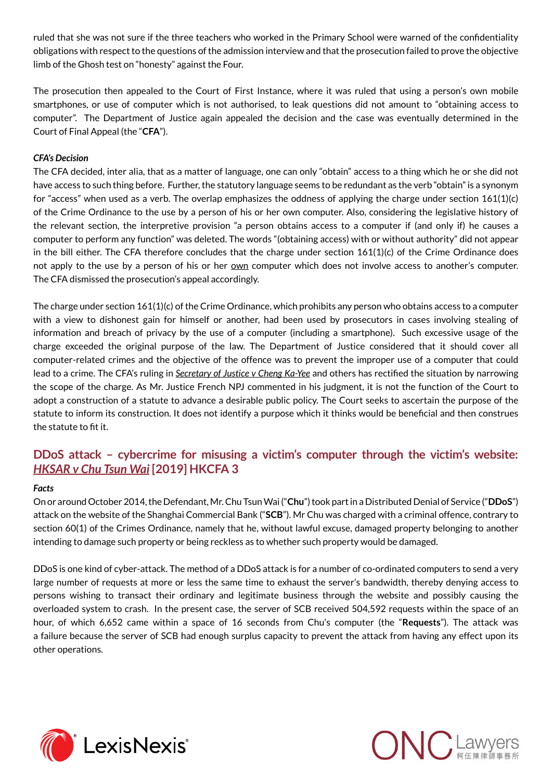ruled that she was not sure if the three teachers who worked in the Primary School were warned of the confidentiality obligations with respect to the questions of the admission interview and that the prosecution failed to prove the objective limb of the Ghosh test on "honesty" against the Four.

The prosecution then appealed to the Court of First Instance, where it was ruled that using a person's own mobile smartphones, or use of computer which is not authorised, to leak questions did not amount to "obtaining access to computer". The Department of Justice again appealed the decision and the case was eventually determined in the Court of Final Appeal (the "**CFA**").

#### *CFA's Decision*

The CFA decided, inter alia, that as a matter of language, one can only "obtain" access to a thing which he or she did not have access to such thing before. Further, the statutory language seems to be redundant as the verb "obtain" is a synonym for "access" when used as a verb. The overlap emphasizes the oddness of applying the charge under section 161(1)(c) of the Crime Ordinance to the use by a person of his or her own computer. Also, considering the legislative history of the relevant section, the interpretive provision "a person obtains access to a computer if (and only if) he causes a computer to perform any function" was deleted. The words "(obtaining access) with or without authority" did not appear in the bill either. The CFA therefore concludes that the charge under section 161(1)(c) of the Crime Ordinance does not apply to the use by a person of his or her own computer which does not involve access to another's computer. The CFA dismissed the prosecution's appeal accordingly.

The charge under section 161(1)(c) of the Crime Ordinance, which prohibits any person who obtains access to a computer with a view to dishonest gain for himself or another, had been used by prosecutors in cases involving stealing of information and breach of privacy by the use of a computer (including a smartphone). Such excessive usage of the charge exceeded the original purpose of the law. The Department of Justice considered that it should cover all computer-related crimes and the objective of the offence was to prevent the improper use of a computer that could lead to a crime. The CFA's ruling in *Secretary of Justice v Cheng Ka-Yee* and others has rectified the situation by narrowing the scope of the charge. As Mr. Justice French NPJ commented in his judgment, it is not the function of the Court to adopt a construction of a statute to advance a desirable public policy. The Court seeks to ascertain the purpose of the statute to inform its construction. It does not identify a purpose which it thinks would be beneficial and then construes the statute to fit it.

## **DDoS attack – cybercrime for misusing a victim's computer through the victim's website:**  *HKSAR v Chu Tsun Wai* **[2019] HKCFA 3**

#### *Facts*

On or around October 2014, the Defendant, Mr. Chu Tsun Wai ("**Chu**") took part in a Distributed Denial of Service ("**DDoS**") attack on the website of the Shanghai Commercial Bank ("**SCB**"). Mr Chu was charged with a criminal offence, contrary to section 60(1) of the Crimes Ordinance, namely that he, without lawful excuse, damaged property belonging to another intending to damage such property or being reckless as to whether such property would be damaged.

DDoS is one kind of cyber-attack. The method of a DDoS attack is for a number of co-ordinated computers to send a very large number of requests at more or less the same time to exhaust the server's bandwidth, thereby denying access to persons wishing to transact their ordinary and legitimate business through the website and possibly causing the overloaded system to crash. In the present case, the server of SCB received 504,592 requests within the space of an hour, of which 6,652 came within a space of 16 seconds from Chu's computer (the "**Requests**"). The attack was a failure because the server of SCB had enough surplus capacity to prevent the attack from having any effect upon its other operations.



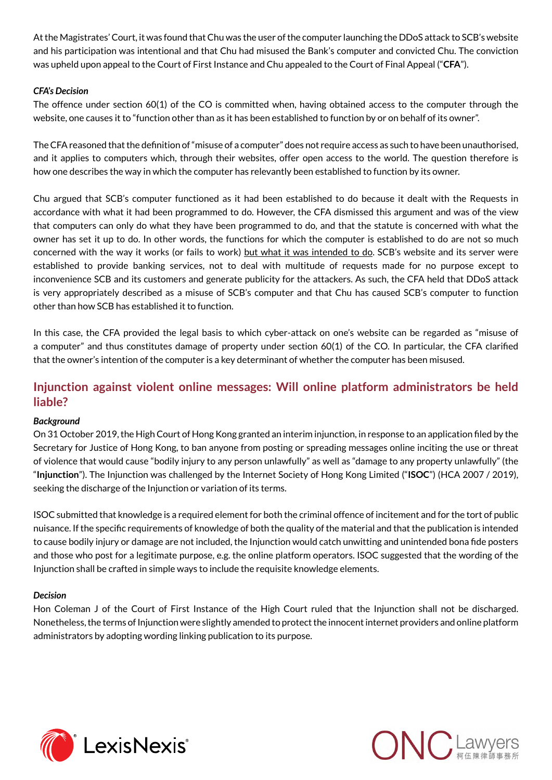At the Magistrates' Court, it was found that Chu was the user of the computer launching the DDoS attack to SCB's website and his participation was intentional and that Chu had misused the Bank's computer and convicted Chu. The conviction was upheld upon appeal to the Court of First Instance and Chu appealed to the Court of Final Appeal ("**CFA**").

#### *CFA's Decision*

The offence under section 60(1) of the CO is committed when, having obtained access to the computer through the website, one causes it to "function other than as it has been established to function by or on behalf of its owner".

The CFA reasoned that the definition of "misuse of a computer" does not require access as such to have been unauthorised, and it applies to computers which, through their websites, offer open access to the world. The question therefore is how one describes the way in which the computer has relevantly been established to function by its owner.

Chu argued that SCB's computer functioned as it had been established to do because it dealt with the Requests in accordance with what it had been programmed to do. However, the CFA dismissed this argument and was of the view that computers can only do what they have been programmed to do, and that the statute is concerned with what the owner has set it up to do. In other words, the functions for which the computer is established to do are not so much concerned with the way it works (or fails to work) but what it was intended to do. SCB's website and its server were established to provide banking services, not to deal with multitude of requests made for no purpose except to inconvenience SCB and its customers and generate publicity for the attackers. As such, the CFA held that DDoS attack is very appropriately described as a misuse of SCB's computer and that Chu has caused SCB's computer to function other than how SCB has established it to function.

In this case, the CFA provided the legal basis to which cyber-attack on one's website can be regarded as "misuse of a computer" and thus constitutes damage of property under section 60(1) of the CO. In particular, the CFA clarified that the owner's intention of the computer is a key determinant of whether the computer has been misused.

## **Injunction against violent online messages: Will online platform administrators be held liable?**

#### *Background*

On 31 October 2019, the High Court of Hong Kong granted an interim injunction, in response to an application filed by the Secretary for Justice of Hong Kong, to ban anyone from posting or spreading messages online inciting the use or threat of violence that would cause "bodily injury to any person unlawfully" as well as "damage to any property unlawfully" (the "**Injunction**"). The Injunction was challenged by the Internet Society of Hong Kong Limited ("**ISOC**") (HCA 2007 / 2019), seeking the discharge of the Injunction or variation of its terms.

ISOC submitted that knowledge is a required element for both the criminal offence of incitement and for the tort of public nuisance. If the specific requirements of knowledge of both the quality of the material and that the publication is intended to cause bodily injury or damage are not included, the Injunction would catch unwitting and unintended bona fide posters and those who post for a legitimate purpose, e.g. the online platform operators. ISOC suggested that the wording of the Injunction shall be crafted in simple ways to include the requisite knowledge elements.

#### *Decision*

Hon Coleman J of the Court of First Instance of the High Court ruled that the Injunction shall not be discharged. Nonetheless, the terms of Injunction were slightly amended to protect the innocent internet providers and online platform administrators by adopting wording linking publication to its purpose.



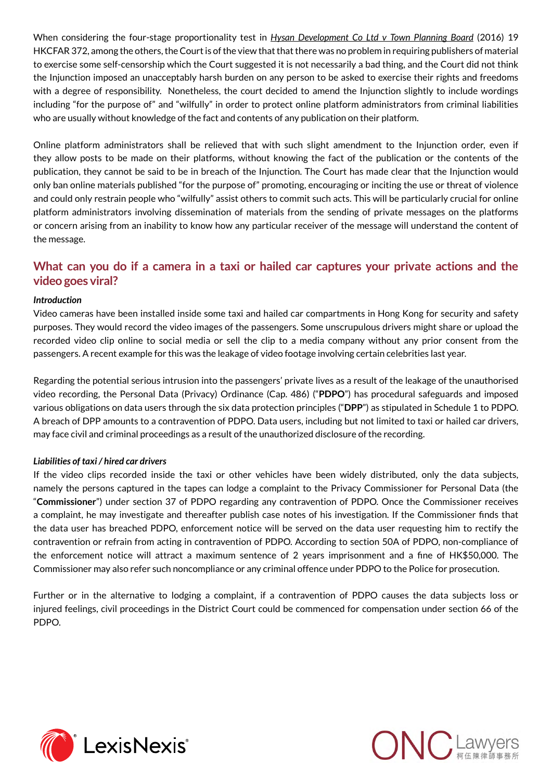When considering the four-stage proportionality test in *Hysan Development Co Ltd v Town Planning Board* (2016) 19 HKCFAR 372, among the others, the Court is of the view that that there was no problem in requiring publishers of material to exercise some self-censorship which the Court suggested it is not necessarily a bad thing, and the Court did not think the Injunction imposed an unacceptably harsh burden on any person to be asked to exercise their rights and freedoms with a degree of responsibility. Nonetheless, the court decided to amend the Injunction slightly to include wordings including "for the purpose of" and "wilfully" in order to protect online platform administrators from criminal liabilities who are usually without knowledge of the fact and contents of any publication on their platform.

Online platform administrators shall be relieved that with such slight amendment to the Injunction order, even if they allow posts to be made on their platforms, without knowing the fact of the publication or the contents of the publication, they cannot be said to be in breach of the Injunction. The Court has made clear that the Injunction would only ban online materials published "for the purpose of" promoting, encouraging or inciting the use or threat of violence and could only restrain people who "wilfully" assist others to commit such acts. This will be particularly crucial for online platform administrators involving dissemination of materials from the sending of private messages on the platforms or concern arising from an inability to know how any particular receiver of the message will understand the content of the message.

## **What can you do if a camera in a taxi or hailed car captures your private actions and the video goes viral?**

#### *Introduction*

Video cameras have been installed inside some taxi and hailed car compartments in Hong Kong for security and safety purposes. They would record the video images of the passengers. Some unscrupulous drivers might share or upload the recorded video clip online to social media or sell the clip to a media company without any prior consent from the passengers. A recent example for this was the leakage of video footage involving certain celebrities last year.

Regarding the potential serious intrusion into the passengers' private lives as a result of the leakage of the unauthorised video recording, the Personal Data (Privacy) Ordinance (Cap. 486) ("**PDPO**") has procedural safeguards and imposed various obligations on data users through the six data protection principles ("**DPP**") as stipulated in Schedule 1 to PDPO. A breach of DPP amounts to a contravention of PDPO. Data users, including but not limited to taxi or hailed car drivers, may face civil and criminal proceedings as a result of the unauthorized disclosure of the recording.

#### *Liabilities of taxi / hired car drivers*

If the video clips recorded inside the taxi or other vehicles have been widely distributed, only the data subjects, namely the persons captured in the tapes can lodge a complaint to the Privacy Commissioner for Personal Data (the "**Commissioner**") under section 37 of PDPO regarding any contravention of PDPO. Once the Commissioner receives a complaint, he may investigate and thereafter publish case notes of his investigation. If the Commissioner finds that the data user has breached PDPO, enforcement notice will be served on the data user requesting him to rectify the contravention or refrain from acting in contravention of PDPO. According to section 50A of PDPO, non-compliance of the enforcement notice will attract a maximum sentence of 2 years imprisonment and a fine of HK\$50,000. The Commissioner may also refer such noncompliance or any criminal offence under PDPO to the Police for prosecution.

Further or in the alternative to lodging a complaint, if a contravention of PDPO causes the data subjects loss or injured feelings, civil proceedings in the District Court could be commenced for compensation under section 66 of the PDPO.